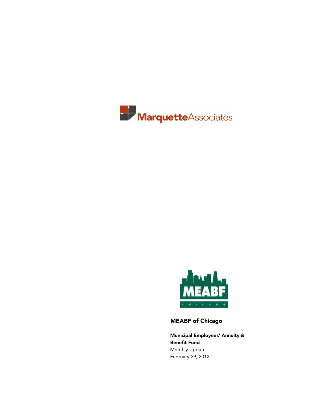



MEABF of Chicago

Municipal Employees' Annuity & Benefit Fund Monthly Update February 29, 2012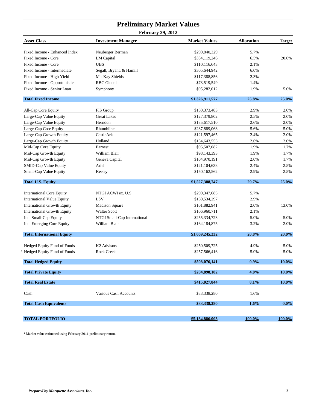### **Preliminary Market Values February 29, 2012**

| <b>Asset Class</b>                 | <b>Investment Manager</b>    | <b>Market Values</b> | <b>Allocation</b> | <b>Target</b> |
|------------------------------------|------------------------------|----------------------|-------------------|---------------|
| Fixed Income - Enhanced Index      | Neuberger Berman             | \$290,840,329        | 5.7%              |               |
| Fixed Income - Core                | LM Capital                   | \$334,119,246        | 6.5%              | 20.0%         |
| Fixed Income - Core                | <b>UBS</b>                   | \$110,116,643        | 2.1%              |               |
| Fixed Income - Intermediate        | Segall, Bryant, & Hamill     | \$305,644,942        | 6.0%              |               |
| Fixed Income - High Yield          | MacKay Shields               | \$117,388,856        | 2.3%              |               |
| Fixed Income - Opportunistic       | <b>RBC</b> Global            | \$73,519,549         | 1.4%              |               |
| Fixed Income - Senior Loan         | Symphony                     | \$95,282,012         | 1.9%              | 5.0%          |
| <b>Total Fixed Income</b>          |                              | \$1,326,911,577      | 25.8%             | 25.0%         |
| All-Cap Core Equity                | FIS Group                    | \$150,373,483        | 2.9%              | 2.0%          |
| Large-Cap Value Equity             | <b>Great Lakes</b>           | \$127,379,802        | 2.5%              | 2.0%          |
| Large-Cap Value Equity             | Herndon                      | \$135,617,510        | 2.6%              | 2.0%          |
| Large-Cap Core Equity              | Rhumbline                    | \$287,889,068        | 5.6%              | 5.0%          |
| Large-Cap Growth Equity            | CastleArk                    | \$121,597,465        | 2.4%              | 2.0%          |
| Large-Cap Growth Equity            | Holland                      | \$134,643,553        | 2.6%              | 2.0%          |
| Mid-Cap Core Equity                | Earnest                      | \$95,507,082         | 1.9%              | 1.7%          |
| Mid-Cap Growth Equity              | William Blair                | \$98,143,393         | 1.9%              | 1.7%          |
| Mid-Cap Growth Equity              | Geneva Capital               | \$104,970,191        | 2.0%              | 1.7%          |
| SMID-Cap Value Equity              | Ariel                        | \$121,104,638        | 2.4%              | 2.5%          |
| Small-Cap Value Equity             | Keeley                       | \$150,162,562        | 2.9%              | 2.5%          |
| <b>Total U.S. Equity</b>           |                              | \$1,527,388,747      | 29.7%             | 25.0%         |
| <b>International Core Equity</b>   | NTGI ACWI ex. U.S.           | \$290,347,685        | 5.7%              |               |
| <b>International Value Equity</b>  | LSV                          | \$150,534,297        | 2.9%              |               |
| <b>International Growth Equity</b> | <b>Madison Square</b>        | \$101,882,941        | 2.0%              | 13.0%         |
| <b>International Growth Equity</b> | Walter Scott                 | \$106,960,711        | 2.1%              |               |
| Int'l Small-Cap Equity             | NTGI Small-Cap International | \$255,334,723        | 5.0%              | 5.0%          |
| Int'l Emerging Core Equity         | William Blair                | \$164,184,875        | 3.2%              | 2.0%          |
| <b>Total International Equity</b>  |                              | \$1,069,245,232      | 20.8%             | 20.0%         |
| Hedged Equity Fund of Funds        | K <sub>2</sub> Advisors      | \$250,509,725        | 4.9%              | 5.0%          |
| Hedged Equity Fund of Funds        | Rock Creek                   | \$257,566,416        | 5.0%              | 5.0%          |
| <b>Total Hedged Equity</b>         |                              | \$508,076,141        | 9.9%              | 10.0%         |
| <b>Total Private Equity</b>        |                              | \$204,898,182        | 4.0%              | 10.0%         |
| <b>Total Real Estate</b>           |                              | \$415,027,844        | 8.1%              | $10.0\%$      |
| Cash                               | <b>Various Cash Accounts</b> | \$83,338,280         | 1.6%              |               |
| <b>Total Cash Equivalents</b>      |                              | \$83,338,280         | 1.6%              | $0.0\%$       |
|                                    |                              |                      |                   |               |
| <b>TOTAL PORTFOLIO</b>             |                              | \$5,134,886,003      | $100.0\%$         | 100.0%        |

 $^1$  Market value estimated using February 2011 preliminary return.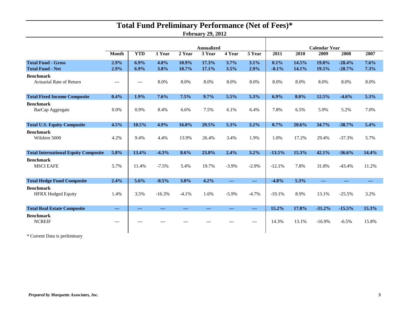# **Total Fund Preliminary Performance (Net of Fees)\***

**February 29, 2012**

|                                                      |               | <b>Annualized</b>    |              |                |                |                | <b>Calendar Year</b> |                 |                |                |                      |              |
|------------------------------------------------------|---------------|----------------------|--------------|----------------|----------------|----------------|----------------------|-----------------|----------------|----------------|----------------------|--------------|
|                                                      | Month         | <b>YTD</b>           | 1 Year       | 2 Year         | 3 Year         | 4 Year         | 5 Year               | 2011            | 2010           | 2009           | 2008                 | 2007         |
| <b>Total Fund - Gross</b><br><b>Total Fund - Net</b> | 2.9%<br>2.9%  | 6.9%<br>6.9%         | 4.0%<br>3.8% | 10.9%<br>10.7% | 17.3%<br>17.1% | 3.7%<br>3.5%   | 3.1%<br>2.9%         | 0.1%<br>$-0.1%$ | 14.5%<br>14.1% | 19.8%<br>19.5% | $-28.4%$<br>$-28.7%$ | 7.6%<br>7.3% |
| <b>Benchmark</b><br><b>Actuarial Rate of Return</b>  | $---$         | $---$                | 8.0%         | 8.0%           | 8.0%           | 8.0%           | 8.0%                 | 8.0%            | 8.0%           | 8.0%           | 8.0%                 | 8.0%         |
| <b>Total Fixed Income Composite</b>                  | $0.4\%$       | 1.9%                 | 7.6%         | 7.5%           | 9.7%           | 5.5%           | 5.3%                 | 6.9%            | 8.0%           | 12.5%          | $-4.6%$              | 5.3%         |
| <b>Benchmark</b><br>BarCap Aggregate                 | 0.0%          | 0.9%                 | 8.4%         | 6.6%           | 7.5%           | 6.1%           | 6.4%                 | 7.8%            | 6.5%           | 5.9%           | 5.2%                 | 7.0%         |
| <b>Total U.S. Equity Composite</b>                   | 4.5%          | 10.5%                | 4.9%         | 16.0%          | 29.5%          | 5.3%           | 3.2%                 | 0.7%            | 20.6%          | 34.7%          | $-38.7%$             | 5.4%         |
| <b>Benchmark</b><br>Wilshire 5000                    | 4.2%          | 9.4%                 | 4.4%         | 13.9%          | 26.4%          | 3.4%           | 1.9%                 | 1.0%            | 17.2%          | 29.4%          | $-37.3%$             | 5.7%         |
| <b>Total International Equity Composite</b>          | 5.8%          | 13.4%                | $-4.3%$      | 8.6%           | 23.8%          | 2.4%           | 3.2%                 | $-13.5%$        | 15.3%          | 42.1%          | $-36.6%$             | 14.4%        |
| <b>Benchmark</b><br><b>MSCI EAFE</b>                 | 5.7%          | 11.4%                | $-7.5%$      | 5.4%           | 19.7%          | $-3.9\%$       | $-2.9%$              | $-12.1%$        | 7.8%           | 31.8%          | $-43.4%$             | 11.2%        |
| <b>Total Hedge Fund Composite</b>                    | 2.4%          | 5.6%                 | $-0.5%$      | 3.0%           | 4.2%           | $\overline{a}$ | $\sim$ $\sim$ $\sim$ | $-4.8%$         | 5.3%           | $---$          | $--$                 | ---          |
| <b>Benchmark</b><br><b>HFRX Hedged Equity</b>        | 1.4%          | 3.5%                 | $-16.3%$     | $-4.1%$        | 1.6%           | $-5.9\%$       | $-4.7%$              | $-19.1%$        | 8.9%           | 13.1%          | $-25.5%$             | 3.2%         |
| <b>Total Real Estate Composite</b>                   | $\sim$ $\sim$ | $\sim$ $\sim$ $\sim$ | ---          | ---            | $- - -$        | $- - -$        | $\sim$ $\sim$ $\sim$ | 15.2%           | 17.8%          | $-31.2%$       | $-15.5%$             | 15.3%        |
| <b>Benchmark</b><br><b>NCREIF</b>                    | $---$         |                      |              |                |                |                | ---                  | 14.3%           | 13.1%          | $-16.9%$       | $-6.5%$              | 15.8%        |

\* Current Data is preliminary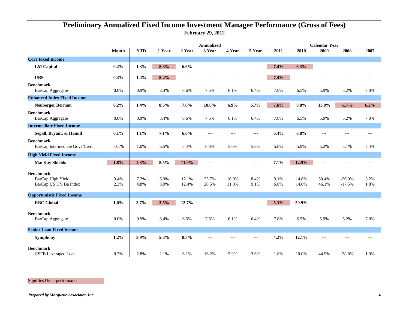### **February 29, 2012 Preliminary Annualized Fixed Income Investment Manager Performance (Gross of Fees)**

|                                                                |              | <b>Annualized</b> |              |                |                |                        | <b>Calendar Year</b> |              |                |                |                      |              |
|----------------------------------------------------------------|--------------|-------------------|--------------|----------------|----------------|------------------------|----------------------|--------------|----------------|----------------|----------------------|--------------|
|                                                                | Month        | <b>YTD</b>        | 1 Year       | 2 Year         | 3 Year         | 4 Year                 | 5 Year               | 2011         | 2010           | 2009           | 2008                 | 2007         |
| <b>Core Fixed Income</b>                                       |              |                   |              |                |                |                        |                      |              |                |                |                      |              |
| <b>LM</b> Capital                                              | 0.2%         | 1.3%              | 8.3%         | 6.6%           | ---            | $--$                   | ---                  | 7.4%         | 6.3%           | $\overline{a}$ | ---                  | ---          |
| <b>UBS</b>                                                     | 0.3%         | 1.4%              | 8.2%         | $\cdots$       | $---$          | $---$                  | $---$                | 7.4%         | $---$          | $--$           | $---$                | ---          |
| <b>Benchmark</b><br>BarCap Aggregate                           | 0.0%         | 0.9%              | 8.4%         | 6.6%           | 7.5%           | 6.1%                   | 6.4%                 | 7.8%         | 6.5%           | 5.9%           | 5.2%                 | 7.0%         |
| <b>Enhanced Index Fixed Income</b>                             |              |                   |              |                |                |                        |                      |              |                |                |                      |              |
| <b>Neuberger Berman</b>                                        | 0.2%         | 1.4%              | 8.5%         | 7.6%           | 10.8%          | 6.9%                   | 6.7%                 | 7.6%         | 8.8%           | 13.0%          | $-1.7%$              | 6.2%         |
| <b>Benchmark</b><br>BarCap Aggregate                           | 0.0%         | 0.9%              | 8.4%         | 6.6%           | 7.5%           | 6.1%                   | 6.4%                 | 7.8%         | 6.5%           | 5.9%           | 5.2%                 | 7.0%         |
| <b>Intermediate Fixed Income</b>                               |              |                   |              |                |                |                        |                      |              |                |                |                      |              |
| Segall, Bryant, & Hamill                                       | 0.1%         | 1.1%              | 7.1%         | 6.0%           | ---            | $\qquad \qquad \cdots$ | ---                  | 6.4%         | 6.8%           | $\frac{1}{2}$  | ---                  | $---$        |
| <b>Benchmark</b><br>BarCap Intermediate Gov't/Credit           | $-0.1%$      | 1.0%              | 6.5%         | 5.4%           | 6.3%           | 5.0%                   | 5.8%                 | 5.8%         | 5.9%           | 5.2%           | 5.1%                 | 7.4%         |
| <b>High Yield Fixed Income</b>                                 |              |                   |              |                |                |                        |                      |              |                |                |                      |              |
| <b>MacKay Shields</b>                                          | 1.8%         | 4.3%              | 8.5%         | 11.9%          | ---            | $---$                  | $---$                | 7.1%         | 12.9%          | $\frac{1}{2}$  | ---                  | ---          |
| <b>Benchmark</b><br>BarCap High Yield<br>BarCap US HY Ba Index | 3.4%<br>2.3% | 7.2%<br>4.8%      | 6.9%<br>8.9% | 12.1%<br>12.4% | 25.7%<br>20.5% | 10.9%<br>11.8%         | 8.4%<br>9.1%         | 3.1%<br>6.8% | 14.8%<br>14.6% | 59.4%<br>46.1% | $-26.9%$<br>$-17.5%$ | 3.2%<br>1.8% |
| <b>Opportunistic Fixed Income</b>                              |              |                   |              |                |                |                        |                      |              |                |                |                      |              |
| <b>RBC</b> Global                                              | $1.0\%$      | 3.7%              | 3.5%         | 12.7%          | ---            | ---                    | $---$                | 5.3%         | 20.9%          | ---            |                      | ---          |
| <b>Benchmark</b><br>BarCap Aggregate                           | 0.0%         | 0.9%              | 8.4%         | 6.6%           | 7.5%           | 6.1%                   | 6.4%                 | 7.8%         | 6.5%           | 5.9%           | 5.2%                 | 7.0%         |
| <b>Senior Loan Fixed Income</b>                                |              |                   |              |                |                |                        |                      |              |                |                |                      |              |
| Symphony                                                       | 1.2%         | 3.9%              | 5.3%         | 8.8%           | ---            | ---                    | ---                  | 4.2%         | 12.1%          | ---            |                      |              |
| <b>Benchmark</b><br>CSFB Leveraged Loan                        | 0.7%         | 2.8%              | 2.1%         | 6.1%           | 16.2%          | 5.9%                   | 3.6%                 | 1.8%         | 10.0%          | 44.9%          | $-28.8%$             | 1.9%         |

Signifies Underperformance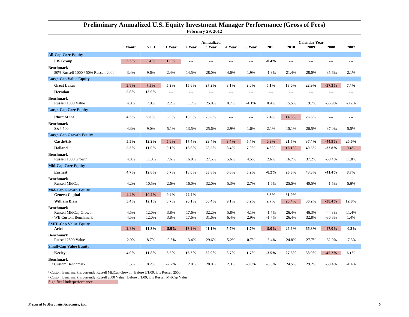|                                                                               |              | <b>Annualized</b> |              |                |                |                |                | <b>Calendar Year</b> |                |                |                      |               |  |
|-------------------------------------------------------------------------------|--------------|-------------------|--------------|----------------|----------------|----------------|----------------|----------------------|----------------|----------------|----------------------|---------------|--|
|                                                                               | Month        | <b>YTD</b>        | 1 Year       | 2 Year         | 3 Year         | 4 Year         | 5 Year         | 2011                 | 2010           | 2009           | 2008                 | 2007          |  |
| <b>All-Cap Core Equity</b>                                                    |              |                   |              |                |                |                |                |                      |                |                |                      |               |  |
| <b>FIS Group</b>                                                              | 3.3%         | 8.4%              | 1.5%         | ---            |                |                | ---            | $-0.4%$              | ---            |                | ---                  | ---           |  |
| <b>Benchmark</b><br>50% Russell 1000 / 50% Russell 2000                       | 3.4%         | 9.6%              | 2.4%         | 14.5%          | 28.0%          | 4.6%           | 1.9%           | $-1.3%$              | 21.4%          | 28.0%          | -35.6%               | 2.1%          |  |
| <b>Large-Cap Value Equity</b>                                                 |              |                   |              |                |                |                |                |                      |                |                |                      |               |  |
| <b>Great Lakes</b>                                                            | 3.8%         | 7.5%              | 5.2%         | 15.6%          | 27.2%          | 3.1%           | 2.0%           | 5.1%                 | 18.0%          | 22.9%          | $-37.3%$             | 7.4%          |  |
| <b>Herndon</b>                                                                | 5.8%         | 13.9%             | ---          | ---            | ---            | ---            | ---            | ---                  |                |                |                      | ---           |  |
| <b>Benchmark</b><br>Russell 1000 Value                                        | 4.0%         | 7.9%              | 2.2%         | 11.7%          | 25.0%          | 0.7%           | $-1.1%$        | 0.4%                 | 15.5%          | 19.7%          | $-36.9%$             | $-0.2%$       |  |
| <b>Large-Cap Core Equity</b>                                                  |              |                   |              |                |                |                |                |                      |                |                |                      |               |  |
| RhumbLine                                                                     | 4.3%         | $9.0\%$           | 5.5%         | 13.5%          | 25.6%          | $\overline{a}$ | $\overline{a}$ | 2.4%                 | 14.8%          | 26.6%          | ---                  | ---           |  |
| <b>Benchmark</b><br>S&P 500                                                   | 4.3%         | 9.0%              | 5.1%         | 13.5%          | 25.6%          | 2.9%           | 1.6%           | 2.1%                 | 15.1%          | 26.5%          | $-37.0%$             | 5.5%          |  |
| <b>Large-Cap Growth Equity</b>                                                |              |                   |              |                |                |                |                |                      |                |                |                      |               |  |
| <b>CastleArk</b>                                                              | 5.5%         | 12.2%             | 5.6%         | 17.4%          | 29.4%          | 3.4%           | 5.4%           | 0.9%                 | 21.7%          | 37.4%          | $-44.9%$             | 25.6%         |  |
| Holland                                                                       | 5.3%         | 11.0%             | 9.1%         | 16.6%          | 28.5%          | 8.4%           | $7.0\%$        | 4.3%                 | 16.1%          | 40.5%          | $-33.8%$             | 9.4%          |  |
| <b>Benchmark</b><br>Russell 1000 Growth                                       | 4.8%         | 11.0%             | 7.6%         | 16.0%          | 27.5%          | 5.6%           | 4.5%           | 2.6%                 | 16.7%          | 37.2%          | $-38.4%$             | 11.8%         |  |
| <b>Mid-Cap Core Equity</b>                                                    |              |                   |              |                |                |                |                |                      |                |                |                      |               |  |
| <b>Earnest</b>                                                                | 4.7%         | 12.0%             | 5.7%         | 18.0%          | 33.8%          | 6.6%           | 5.2%           | $-0.2%$              | 26.8%          | 43.3%          | $-41.4%$             | 8.7%          |  |
| <b>Benchmark</b><br>Russell MidCap                                            | 4.2%         | 10.5%             | 2.6%         | 16.0%          | 32.0%          | 5.3%           | 2.7%           | $-1.6%$              | 25.5%          | 40.5%          | $-41.5%$             | 5.6%          |  |
| <b>Mid-Cap Growth Equity</b>                                                  |              |                   |              |                |                |                |                |                      |                |                |                      |               |  |
| <b>Geneva Capital</b>                                                         | 4.4%         | 10.2%             | 9.4%         | 22.2%          | ---            | $---$          | ---            | 3.8%                 | 31.0%          | ---            | ---                  | ---           |  |
| <b>William Blair</b>                                                          | 5.4%         | 12.1%             | 8.7%         | 20.1%          | 30.4%          | 9.1%           | 6.2%           | 2.7%                 | 25.4%          | 36.2%          | $-38.4%$             | 12.8%         |  |
| <b>Benchmark</b><br>Russell MidCap Growth<br><sup>1</sup> WB Custom Benchmark | 4.5%<br>4.5% | 12.0%<br>12.0%    | 3.8%<br>3.8% | 17.6%<br>17.6% | 32.2%<br>31.6% | 5.8%<br>6.4%   | 4.1%<br>2.9%   | $-1.7%$<br>$-1.7%$   | 26.4%<br>26.4% | 46.3%<br>32.8% | $-44.3%$<br>$-36.8%$ | 11.4%<br>1.4% |  |
| <b>SMID-Cap Value Equity</b>                                                  |              |                   |              |                |                |                |                |                      |                |                |                      |               |  |
| <b>Ariel</b>                                                                  | 2.8%         | 11.3%             | $-5.9%$      | 13.2%          | 41.1%          | 5.7%           | 1.7%           | $-9.0\%$             | 26.6%          | 66.3%          | $-47.0%$             | $-0.3%$       |  |
| <b>Benchmark</b><br>Russell 2500 Value                                        | 2.9%         | 8.7%              | $-0.8%$      | 13.4%          | 29.6%          | 5.2%           | 0.7%           | $-3.4%$              | 24.8%          | 27.7%          | $-32.0%$             | $-7.3%$       |  |
| <b>Small-Cap Value Equity</b>                                                 |              |                   |              |                |                |                |                |                      |                |                |                      |               |  |
| Keeley                                                                        | 4.9%         | 11.8%             | 3.5%         | 16.3%          | 32.9%          | 3.7%           | 1.7%           | $-3.5%$              | 27.3%          | 38.9%          | $-45.2%$             | 6.1%          |  |
| <b>Benchmark</b><br><sup>2</sup> Custom Benchmark                             | 1.5%         | 8.2%              | $-2.7%$      | 12.0%          | 28.0%          | 2.3%           | $-0.8%$        | $-5.5%$              | 24.5%          | 29.2%          | -38.4%               | $-1.4%$       |  |

#### **February 29, 2012 Preliminary Annualized U.S. Equity Investment Manager Performance (Gross of Fees)**

<sup>1</sup> Custom Benchmark is currently Russell MidCap Growth. Before 6/1/09, it is Russell 2500.

² Custom Benchmark is currently Russell 2000 Value. Before 8/1/09, it is Russell MidCap Value.

Signifies Underperformance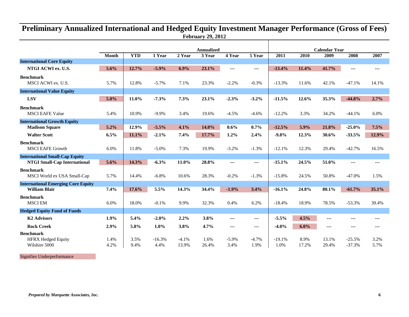## **February 29, 2012 Preliminary Annualized International and Hedged Equity Investment Manager Performance (Gross of Fees)**

|                                                                   |              | <b>Annualized</b> |                  |                  |               |                      | <b>Calendar Year</b> |                  |               |                      |                      |              |
|-------------------------------------------------------------------|--------------|-------------------|------------------|------------------|---------------|----------------------|----------------------|------------------|---------------|----------------------|----------------------|--------------|
|                                                                   | <b>Month</b> | <b>YTD</b>        | 1 Year           | 2 Year           | 3 Year        | 4 Year               | 5 Year               | 2011             | 2010          | 2009                 | 2008                 | 2007         |
| <b>International Core Equity</b>                                  |              |                   |                  |                  |               |                      |                      |                  |               |                      |                      |              |
| NTGI ACWI ex. U.S.                                                | 5.6%         | 12.7%             | $-5.9%$          | 6.9%             | 23.1%         | $--$                 | ---                  | $-13.4%$         | 11.4%         | 41.7%                | $--$                 | $- - -$      |
| <b>Benchmark</b><br>MSCI ACWI ex. U.S.                            | 5.7%         | 12.8%             | $-5.7%$          | 7.1%             | 23.3%         | $-2.2%$              | $-0.3%$              | $-13.3%$         | 11.6%         | 42.1%                | $-47.1%$             | 14.1%        |
| <b>International Value Equity</b>                                 |              |                   |                  |                  |               |                      |                      |                  |               |                      |                      |              |
| <b>LSV</b>                                                        | 5.0%         | 11.0%             | $-7.3%$          | 7.3%             | 23.1%         | $-2.3%$              | $-3.2%$              | $-11.5%$         | 12.6%         | 35.3%                | $-44.8%$             | 2.7%         |
| <b>Benchmark</b><br><b>MSCI EAFE Value</b>                        | 5.4%         | 10.9%             | $-9.9%$          | 3.4%             | 19.6%         | $-4.5%$              | $-4.6%$              | $-12.2%$         | 3.3%          | 34.2%                | $-44.1%$             | 6.0%         |
| <b>International Growth Equity</b>                                |              |                   |                  |                  |               |                      |                      |                  |               |                      |                      |              |
| <b>Madison Square</b>                                             | 5.2%         | 12.9%             | $-5.5%$          | 4.1%             | 14.0%         | 0.6%                 | 0.7%                 | $-12.5%$         | 5.9%          | 21.8%                | $-25.0%$             | 7.5%         |
| <b>Walter Scott</b>                                               | 6.5%         | 11.1%             | $-2.1%$          | 7.4%             | 17.7%         | 1.2%                 | 2.4%                 | $-9.8%$          | 12.3%         | 30.6%                | $-33.5%$             | 12.9%        |
| <b>Benchmark</b><br><b>MSCI EAFE Growth</b>                       | 6.0%         | 11.8%             | $-5.0%$          | 7.3%             | 19.9%         | $-3.2%$              | $-1.3%$              | $-12.1%$         | 12.3%         | 29.4%                | $-42.7%$             | 16.5%        |
| <b>International Small-Cap Equity</b>                             |              |                   |                  |                  |               |                      |                      |                  |               |                      |                      |              |
| <b>NTGI Small-Cap International</b>                               | 5.6%         | 14.3%             | $-6.3%$          | 11.0%            | 28.8%         | $- - -$              | ---                  | $-15.1%$         | 24.5%         | 51.0%                | ---                  | $--$         |
| <b>Benchmark</b><br>MSCI World ex USA Small-Cap                   | 5.7%         | 14.4%             | $-6.8%$          | 10.6%            | 28.3%         | $-0.2%$              | $-1.3%$              | $-15.8%$         | 24.5%         | 50.8%                | $-47.0%$             | 1.5%         |
| <b>International Emerging Core Equity</b><br><b>William Blair</b> | 7.4%         | 17.6%             | 5.5%             | 14.3%            | 34.4%         | $-1.9%$              | 3.4%                 | $-16.1%$         | 24.8%         | 80.1%                | $-61.7%$             | 35.1%        |
| <b>Benchmark</b><br><b>MSCI EM</b>                                | 6.0%         | 18.0%             | $-0.1%$          | 9.9%             | 32.3%         | 0.4%                 | 6.2%                 | $-18.4%$         | 18.9%         | 78.5%                | $-53.3%$             | 39.4%        |
| <b>Hedged Equity Fund of Funds</b>                                |              |                   |                  |                  |               |                      |                      |                  |               |                      |                      |              |
| <b>K2 Advisors</b>                                                | 1.9%         | 5.4%              | $-2.0%$          | 2.2%             | 3.8%          | $\cdots$             | ---                  | $-5.5%$          | 4.5%          | ---                  | ---                  | ---          |
| <b>Rock Creek</b>                                                 | 2.9%         | 5.8%              | $1.0\%$          | 3.8%             | 4.7%          | $\sim$ $\sim$ $\sim$ | ---                  | $-4.0%$          | $6.0\%$       | $\sim$ $\sim$ $\sim$ | ---                  | $- - -$      |
| <b>Benchmark</b>                                                  |              |                   |                  |                  |               |                      |                      |                  |               |                      |                      |              |
| <b>HFRX Hedged Equity</b><br>Wilshire 5000                        | 1.4%<br>4.2% | 3.5%<br>9.4%      | $-16.3%$<br>4.4% | $-4.1%$<br>13.9% | 1.6%<br>26.4% | $-5.9\%$<br>3.4%     | $-4.7%$<br>1.9%      | $-19.1%$<br>1.0% | 8.9%<br>17.2% | 13.1%<br>29.4%       | $-25.5%$<br>$-37.3%$ | 3.2%<br>5.7% |

Signifies Underperformance